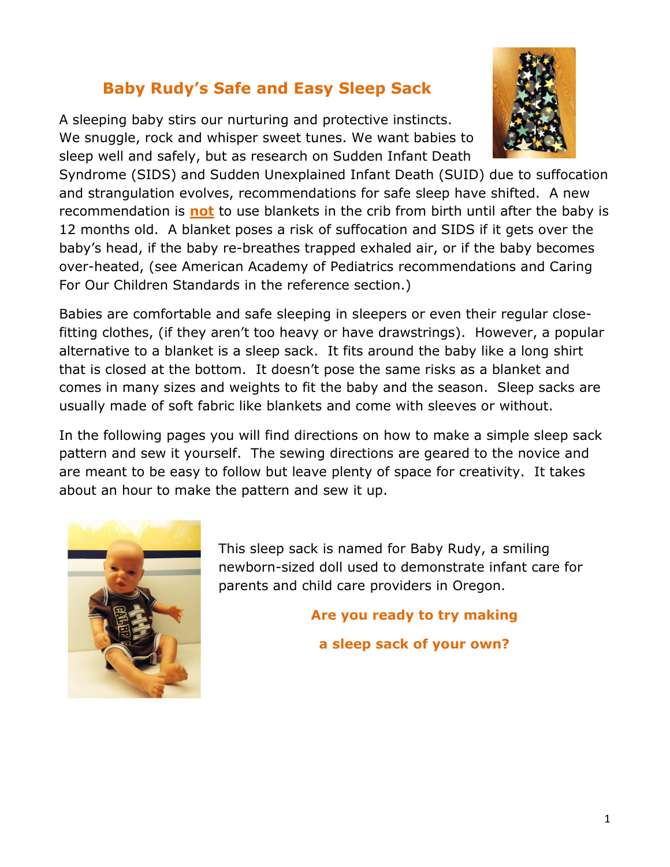## Baby Rudy's Safe and Easy Sleep Sack

A sleeping baby stirs our nurturing and protective instincts. We snuggle, rock and whisper sweet tunes. We want babies to sleep well and safely, but as research on Sudden Infant Death



Syndrome (SIDS) and Sudden Unexplained Infant Death (SUID) due to suffocation and strangulation evolves, recommendations for safe sleep have shifted. A new recommendation is **not** to use blankets in the crib from birth until after the baby is 12 months old. A blanket poses a risk of suffocation and SIDS if it gets over the baby's head, if the baby re-breathes trapped exhaled air, or if the baby becomes over-heated, (see American Academy of Pediatrics recommendations and Caring For Our Children Standards in the reference section.)

Babies are comfortable and safe sleeping in sleepers or even their regular closefitting clothes, (if they aren't too heavy or have drawstrings). However, a popular alternative to a blanket is a sleep sack. It fits around the baby like a long shirt that is closed at the bottom. It doesn't pose the same risks as a blanket and comes in many sizes and weights to fit the baby and the season. Sleep sacks are usually made of soft fabric like blankets and come with sleeves or without.

In the following pages you will find directions on how to make a simple sleep sack pattern and sew it yourself. The sewing directions are geared to the novice and are meant to be easy to follow but leave plenty of space for creativity. It takes about an hour to make the pattern and sew it up.



This sleep sack is named for Baby Rudy, a smiling newborn-sized doll used to demonstrate infant care for parents and child care providers in Oregon.

Are you ready to try making

a sleep sack of your own?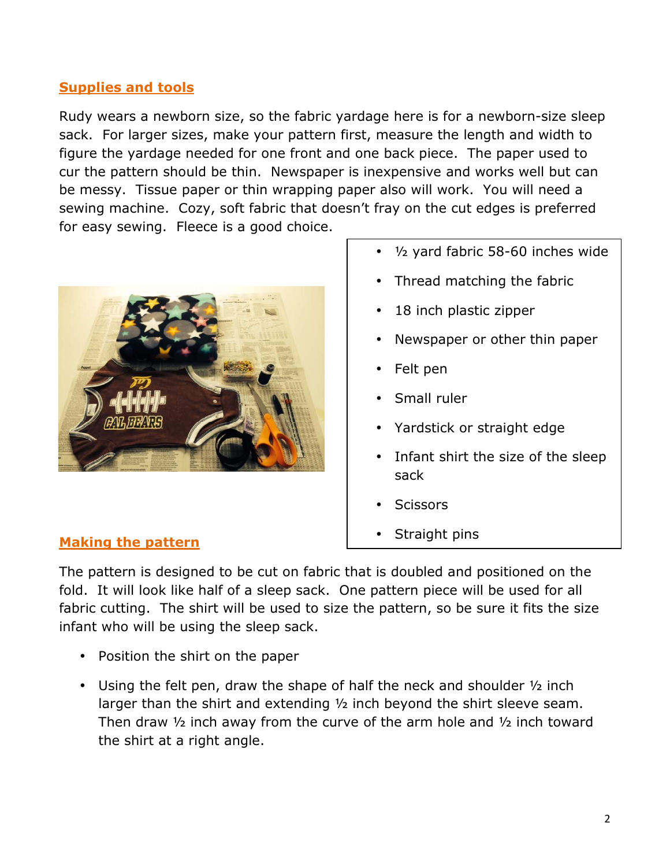### **Supplies and tools**

Rudy wears a newborn size, so the fabric yardage here is for a newborn-size sleep sack. For larger sizes, make your pattern first, measure the length and width to figure the yardage needed for one front and one back piece. The paper used to cur the pattern should be thin. Newspaper is inexpensive and works well but can be messy. Tissue paper or thin wrapping paper also will work. You will need a sewing machine. Cozy, soft fabric that doesn't fray on the cut edges is preferred for easy sewing. Fleece is a good choice.



- ½ yard fabric 58-60 inches wide
- Thread matching the fabric
- 18 inch plastic zipper
- Newspaper or other thin paper
- Felt pen
- Small ruler
- Yardstick or straight edge
- Infant shirt the size of the sleep sack
- **Scissors**
- Straight pins

#### Making the pattern

The pattern is designed to be cut on fabric that is doubled and positioned on the fold. It will look like half of a sleep sack. One pattern piece will be used for all fabric cutting. The shirt will be used to size the pattern, so be sure it fits the size infant who will be using the sleep sack.

- Position the shirt on the paper
- Using the felt pen, draw the shape of half the neck and shoulder  $\frac{1}{2}$  inch larger than the shirt and extending ½ inch beyond the shirt sleeve seam. Then draw ½ inch away from the curve of the arm hole and ½ inch toward the shirt at a right angle.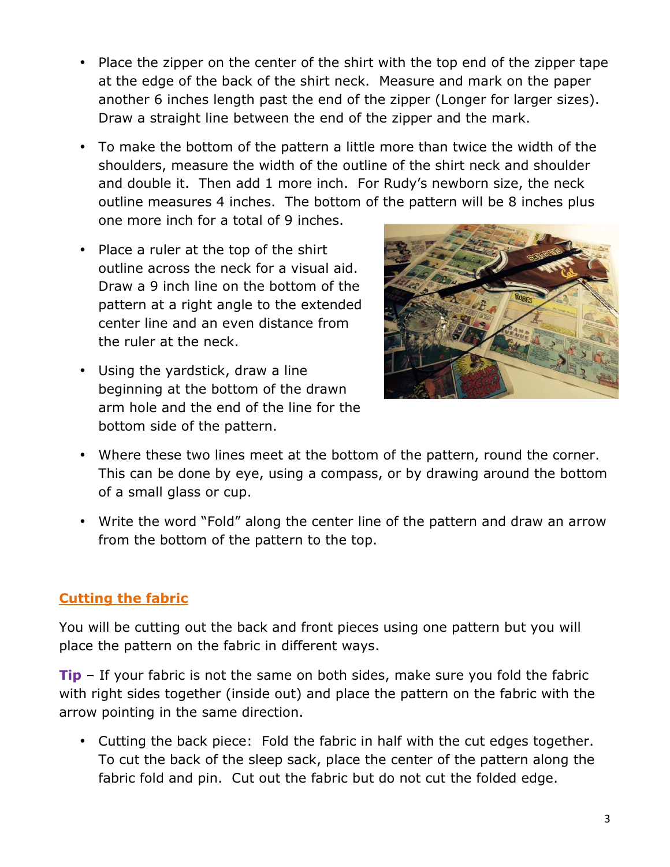- Place the zipper on the center of the shirt with the top end of the zipper tape at the edge of the back of the shirt neck. Measure and mark on the paper another 6 inches length past the end of the zipper (Longer for larger sizes). Draw a straight line between the end of the zipper and the mark.
- To make the bottom of the pattern a little more than twice the width of the shoulders, measure the width of the outline of the shirt neck and shoulder and double it. Then add 1 more inch. For Rudy's newborn size, the neck outline measures 4 inches. The bottom of the pattern will be 8 inches plus one more inch for a total of 9 inches.
- Place a ruler at the top of the shirt outline across the neck for a visual aid. Draw a 9 inch line on the bottom of the pattern at a right angle to the extended center line and an even distance from the ruler at the neck.
- Using the yardstick, draw a line beginning at the bottom of the drawn arm hole and the end of the line for the bottom side of the pattern.



- Where these two lines meet at the bottom of the pattern, round the corner. This can be done by eye, using a compass, or by drawing around the bottom of a small glass or cup.
- Write the word "Fold" along the center line of the pattern and draw an arrow from the bottom of the pattern to the top.

## Cutting the fabric

You will be cutting out the back and front pieces using one pattern but you will place the pattern on the fabric in different ways.

 $Tip - If your fabric is not the same on both sides, make sure you fold the fabric$ with right sides together (inside out) and place the pattern on the fabric with the arrow pointing in the same direction.

• Cutting the back piece: Fold the fabric in half with the cut edges together. To cut the back of the sleep sack, place the center of the pattern along the fabric fold and pin. Cut out the fabric but do not cut the folded edge.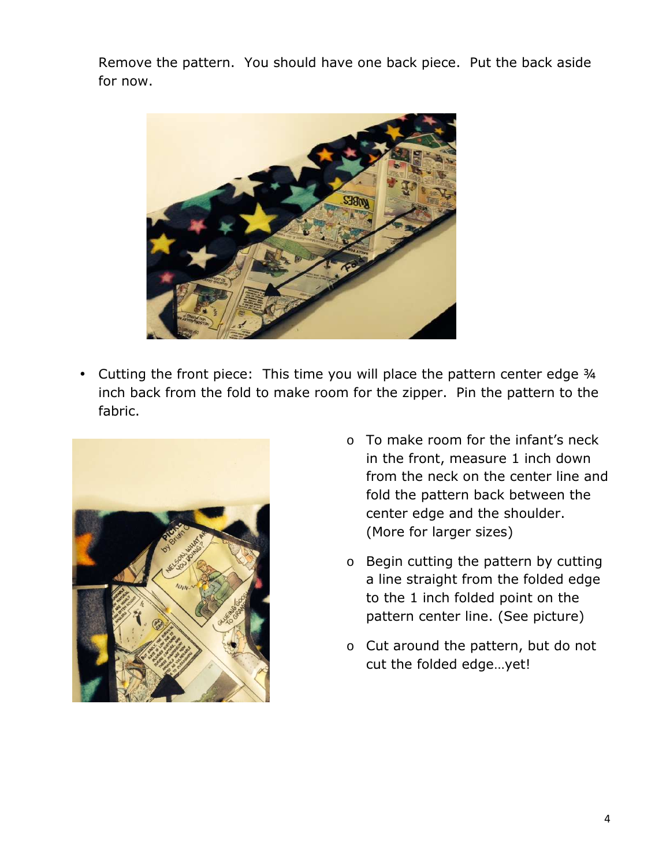Remove the pattern. You should have one back piece. Put the back aside for now.



• Cutting the front piece: This time you will place the pattern center edge 3/4 inch back from the fold to make room for the zipper. Pin the pattern to the fabric.



- o To make room for the infant's neck in the front, measure 1 inch down from the neck on the center line and fold the pattern back between the center edge and the shoulder. (More for larger sizes)
- o Begin cutting the pattern by cutting a line straight from the folded edge to the 1 inch folded point on the pattern center line. (See picture)
- o Cut around the pattern, but do not cut the folded edge…yet!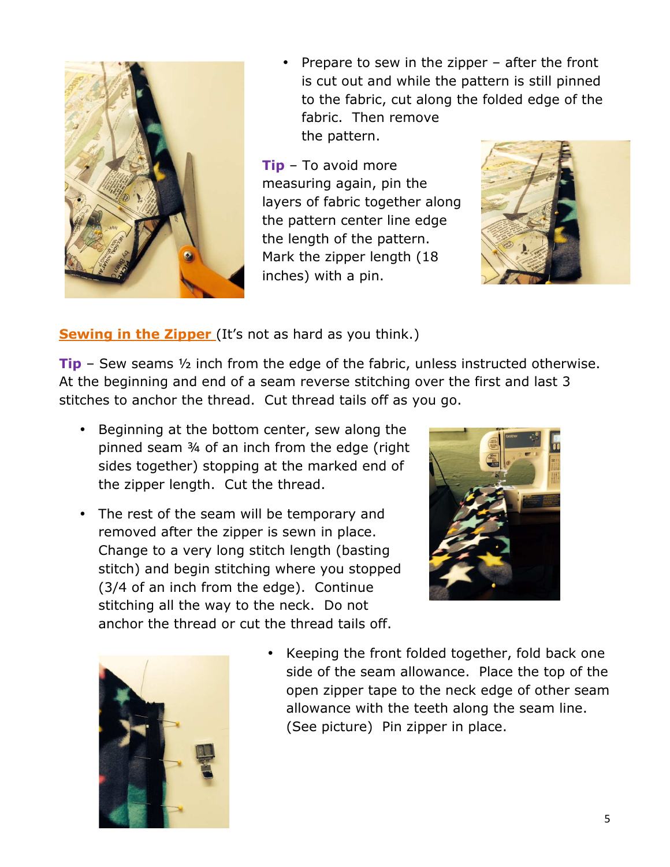

• Prepare to sew in the zipper – after the front is cut out and while the pattern is still pinned to the fabric, cut along the folded edge of the fabric. Then remove the pattern.

 $Tip - To avoid more$ measuring again, pin the layers of fabric together along the pattern center line edge the length of the pattern. Mark the zipper length (18 inches) with a pin.



**Sewing in the Zipper** (It's not as hard as you think.)

**Tip** – Sew seams  $\frac{1}{2}$  inch from the edge of the fabric, unless instructed otherwise. At the beginning and end of a seam reverse stitching over the first and last 3 stitches to anchor the thread. Cut thread tails off as you go.

- Beginning at the bottom center, sew along the pinned seam ¾ of an inch from the edge (right sides together) stopping at the marked end of the zipper length. Cut the thread.
- The rest of the seam will be temporary and removed after the zipper is sewn in place. Change to a very long stitch length (basting stitch) and begin stitching where you stopped (3/4 of an inch from the edge). Continue stitching all the way to the neck. Do not anchor the thread or cut the thread tails off.





• Keeping the front folded together, fold back one side of the seam allowance. Place the top of the open zipper tape to the neck edge of other seam allowance with the teeth along the seam line. (See picture) Pin zipper in place.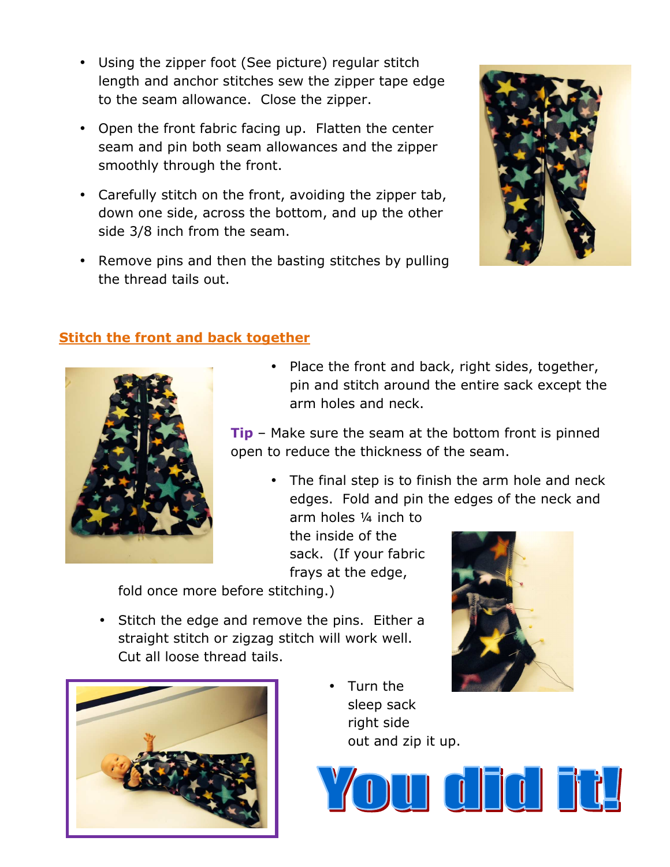- Using the zipper foot (See picture) regular stitch length and anchor stitches sew the zipper tape edge to the seam allowance. Close the zipper.
- Open the front fabric facing up. Flatten the center seam and pin both seam allowances and the zipper smoothly through the front.
- Carefully stitch on the front, avoiding the zipper tab, down one side, across the bottom, and up the other side 3/8 inch from the seam.
- Remove pins and then the basting stitches by pulling the thread tails out.



## Stitch the front and back together



• Place the front and back, right sides, together, pin and stitch around the entire sack except the arm holes and neck.

**Tip** – Make sure the seam at the bottom front is pinned open to reduce the thickness of the seam.

• The final step is to finish the arm hole and neck edges. Fold and pin the edges of the neck and

arm holes ¼ inch to the inside of the sack. (If your fabric frays at the edge,

fold once more before stitching.)

• Stitch the edge and remove the pins. Either a straight stitch or zigzag stitch will work well. Cut all loose thread tails.



• Turn the sleep sack right side out and zip it up.